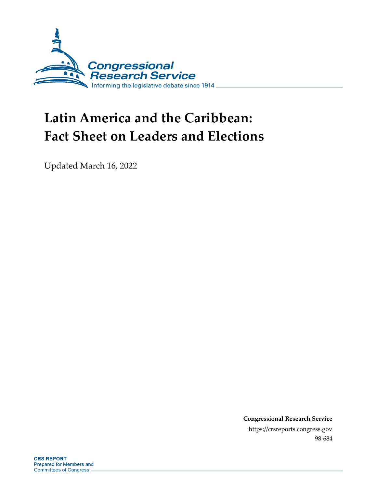

## **Latin America and the Caribbean: Fact Sheet on Leaders and Elections**

Updated March 16, 2022

**Congressional Research Service** https://crsreports.congress.gov 98-684

**CRS REPORT Prepared for Members and Committees of Congress.**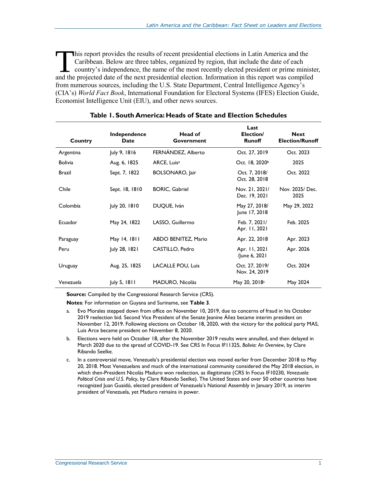his report provides the results of recent presidential elections in Latin America and the Caribbean. Below are three tables, organized by region, that include the date of each country's independence, the name of the most recently elected president or prime minister, This report provides the results of recent presidential elections in Latin America and the Caribbean. Below are three tables, organized by region, that include the date of each country's independence, the name of the most from numerous sources, including the U.S. State Department, Central Intelligence Agency's (CIA's) *World Fact Book*, International Foundation for Electoral Systems (IFES) Election Guide, Economist Intelligence Unit (EIU), and other news sources.

| Country        | Independence<br>Date | Head of<br>Government      | Last<br>Election/<br><b>Runoff</b> | <b>Next</b><br><b>Election/Runoff</b> |
|----------------|----------------------|----------------------------|------------------------------------|---------------------------------------|
| Argentina      | July 9, 1816         | FERNÁNDEZ, Alberto         | Oct. 27, 2019                      | Oct. 2023                             |
| <b>Bolivia</b> | Aug. 6, 1825         | ARCE, Luis <sup>a</sup>    | Oct. 18, 2020 <sup>b</sup>         | 2025                                  |
| <b>Brazil</b>  | Sept. 7, 1822        | <b>BOLSONARO, Jair</b>     | Oct. 7, 2018/<br>Oct. 28, 2018     | Oct. 2022                             |
| Chile          | Sept. 18, 1810       | <b>BORIC, Gabriel</b>      | Nov. 21, 2021/<br>Dec. 19, 2021    | Nov. 2025/ Dec.<br>2025               |
| Colombia       | July 20, 1810        | DUQUE, Iván                | May 27, 2018/<br>June 17, 2018     | May 29, 2022                          |
| Ecuador        | May 24, 1822         | LASSO, Guillermo           | Feb. 7, 2021/<br>Apr. 11, 2021     | Feb. 2025                             |
| Paraguay       | May 14, 1811         | <b>ABDO BENITEZ, Mario</b> | Apr. 22, 2018                      | Apr. 2023                             |
| Peru           | July 28, 1821        | CASTILLO, Pedro            | Apr. 11, 2021<br>/June 6, 2021     | Apr. 2026                             |
| Uruguay        | Aug. 25, 1825        | <b>LACALLE POU, Luis</b>   | Oct. 27, 2019/<br>Nov. 24, 2019    | Oct. 2024                             |
| Venezuela      | July 5, 1811         | <b>MADURO, Nicolás</b>     | May 20, 2018 <sup>c</sup>          | May 2024                              |

## **Table 1. South America: Heads of State and Election Schedules**

**Source:** Compiled by the Congressional Research Service (CRS).

**Notes**: For information on Guyana and Suriname, see **[Table 3](#page-3-0)**.

- <span id="page-1-0"></span>a. Evo Morales stepped down from office on November 10, 2019, due to concerns of fraud in his October 2019 reelection bid. Second Vice President of the Senate Jeanine Áñez became interim president on November 12, 2019. Following elections on October 18, 2020, with the victory for the political party MAS, Luis Arce became president on November 8, 2020.
- <span id="page-1-1"></span>b. Elections were held on October 18, after the November 2019 results were annulled, and then delayed in March 2020 due to the spread of COVID-19. See CRS In Focus IF11325, *Bolivia: An Overview*, by Clare Ribando Seelke.
- <span id="page-1-2"></span>c. In a controversial move, Venezuela's presidential election was moved earlier from December 2018 to May 20, 2018. Most Venezuelans and much of the international community considered the May 2018 election, in which then-President Nicolás Maduro won reelection, as illegitimate (CRS In Focus IF10230, *Venezuela: Political Crisis and U.S. Policy*, by Clare Ribando Seelke). The United States and over 50 other countries have recognized Juan Guaidó, elected president of Venezuela's National Assembly in January 2019, as interim president of Venezuela, yet Maduro remains in power.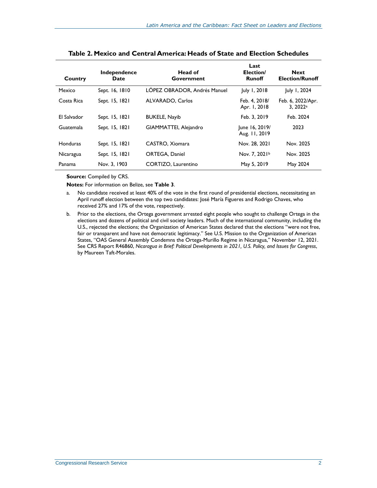| Country          | Independence<br>Date | Head of<br>Government        | Last<br>Election/<br><b>Runoff</b> | <b>Next</b><br><b>Election/Runoff</b> |
|------------------|----------------------|------------------------------|------------------------------------|---------------------------------------|
| Mexico           | Sept. 16, 1810       | LÓPEZ OBRADOR, Andrés Manuel | July 1, 2018                       | July 1, 2024                          |
| Costa Rica       | Sept. 15, 1821       | <b>ALVARADO, Carlos</b>      | Feb. 4, 2018/<br>Apr. 1, 2018      | Feb. 6, 2022/Apr.<br>3.2022a          |
| El Salvador      | Sept. 15, 1821       | <b>BUKELE, Nayib</b>         | Feb. 3, 2019                       | Feb. 2024                             |
| <b>Guatemala</b> | Sept. 15, 1821       | GIAMMATTEI, Alejandro        | June 16, 2019/<br>Aug. 11, 2019    | 2023                                  |
| Honduras         | Sept. 15, 1821       | CASTRO, Xiomara              | Nov. 28, 2021                      | Nov. 2025                             |
| Nicaragua        | Sept. 15, 1821       | <b>ORTEGA, Daniel</b>        | Nov. 7, 2021b                      | Nov. 2025                             |
| Panama           | Nov. 3, 1903         | CORTIZO, Laurentino          | May 5, 2019                        | May 2024                              |

**Table 2. Mexico and Central America: Heads of State and Election Schedules**

**Source:** Compiled by CRS.

**Notes:** For information on Belize, see **[Table 3](#page-3-0)**.

- <span id="page-2-0"></span>a. No candidate received at least 40% of the vote in the first round of presidential elections, necessitating an April runoff election between the top two candidates: José María Figueres and Rodrigo Chaves, who received 27% and 17% of the vote, respectively.
- <span id="page-2-1"></span>b. Prior to the elections, the Ortega government arrested eight people who sought to challenge Ortega in the elections and dozens of political and civil society leaders. Much of the international community, including the U.S., rejected the elections; the Organization of American States declared that the elections "were not free, fair or transparent and have not democratic legitimacy." See U.S. Mission to the Organization of American States, "OAS General Assembly Condemns the Ortega-Murillo Regime in Nicaragua," November 12, 2021. See CRS Report R46860, *Nicaragua in Brief: Political Developments in 2021, U.S. Policy, and Issues for Congress*, by Maureen Taft-Morales.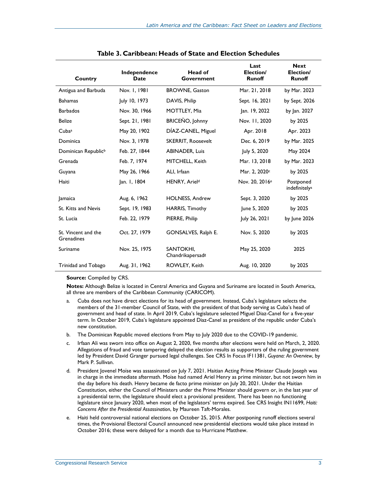<span id="page-3-0"></span>

| Country                           | Independence<br>Date | Head of<br>Government         | Last<br>Election/<br><b>Runoff</b> | <b>Next</b><br>Election/<br><b>Runoff</b> |
|-----------------------------------|----------------------|-------------------------------|------------------------------------|-------------------------------------------|
| Antigua and Barbuda               | Nov. 1, 1981         | <b>BROWNE, Gaston</b>         | Mar. 21, 2018                      | by Mar. 2023                              |
| <b>Bahamas</b>                    | July 10, 1973        | DAVIS, Philip                 | Sept. 16, 2021                     | by Sept. 2026                             |
| <b>Barbados</b>                   | Nov. 30, 1966        | MOTTLEY, Mia                  | Jan. 19, 2022                      | by Jan. 2027                              |
| <b>Belize</b>                     | Sept. 21, 1981       | BRICEŇO, Johnny               | Nov. 11, 2020                      | by 2025                                   |
| Cubaa                             | May 20, 1902         | DÍAZ-CANEL, Miguel            | Apr. 2018                          | Apr. 2023                                 |
| Dominica                          | Nov. 3, 1978         | <b>SKERRIT, Roosevelt</b>     | Dec. 6, 2019                       | by Mar. 2025                              |
| Dominican Republic <sup>b</sup>   | Feb. 27, 1844        | <b>ABINADER, Luis</b>         | July 5, 2020                       | May 2024                                  |
| Grenada                           | Feb. 7, 1974         | MITCHELL, Keith               | Mar. 13, 2018                      | by Mar. 2023                              |
| Guyana                            | May 26, 1966         | ALI, Irfaan                   | Mar. 2, 2020c                      | by 2025                                   |
| Haiti                             | Jan. I, 1804         | HENRY, Arield                 | Nov. 20, 2016 <sup>e</sup>         | Postponed<br>indefinitely <sup>a</sup>    |
| <b>Jamaica</b>                    | Aug. 6, 1962         | <b>HOLNESS, Andrew</b>        | Sept. 3, 2020                      | by 2025                                   |
| St. Kitts and Nevis               | Sept. 19, 1983       | <b>HARRIS, Timothy</b>        | June 5, 2020                       | by 2025                                   |
| St. Lucia                         | Feb. 22, 1979        | PIERRE, Philip                | July 26, 2021                      | by June 2026                              |
| St. Vincent and the<br>Grenadines | Oct. 27, 1979        | <b>GONSALVES, Ralph E.</b>    | Nov. 5, 2020                       | by 2025                                   |
| Suriname                          | Nov. 25, 1975        | SANTOKHI,<br>Chandrikapersads | May 25, 2020                       | 2025                                      |
| Trinidad and Tobago               | Aug. 31, 1962        | ROWLEY, Keith                 | Aug. 10, 2020                      | by 2025                                   |

**Source:** Compiled by CRS.

**Notes:** Although Belize is located in Central America and Guyana and Suriname are located in South America, all three are members of the Caribbean Community (CARICOM).

- <span id="page-3-1"></span>a. Cuba does not have direct elections for its head of government. Instead, Cuba's legislature selects the members of the 31-member Council of State, with the president of that body serving as Cuba's head of government and head of state. In April 2019, Cuba's legislature selected Miguel Diaz-Canel for a five-year term. In October 2019, Cuba's legislature appointed Diaz-Canel as president of the republic under Cuba's new constitution.
- <span id="page-3-2"></span>b. The Dominican Republic moved elections from May to July 2020 due to the COVID-19 pandemic.
- <span id="page-3-3"></span>c. Irfaan Ali was sworn into office on August 2, 2020, five months after elections were held on March, 2, 2020. Allegations of fraud and vote tampering delayed the election results as supporters of the ruling government led by President David Granger pursued legal challenges. See CRS In Focus IF11381, *Guyana: An Overview*, by Mark P. Sullivan.
- <span id="page-3-4"></span>d. President Jovenel Moïse was assassinated on July 7, 2021. Haitian Acting Prime Minister Claude Joseph was in charge in the immediate aftermath. Moïse had named Ariel Henry as prime minister, but not sworn him in the day before his death. Henry became de facto prime minister on July 20, 2021. Under the Haitian Constitution, either the Council of Ministers under the Prime Minister should govern or, in the last year of a presidential term, the legislature should elect a provisional president. There has been no functioning legislature since January 2020, when most of the legislators' terms expired. See CRS Insight IN11699, *Haiti: Concerns After the Presidential Assassination*, by Maureen Taft-Morales.
- <span id="page-3-6"></span><span id="page-3-5"></span>e. Haiti held controversial national elections on October 25, 2015. After postponing runoff elections several times, the Provisional Electoral Council announced new presidential elections would take place instead in October 2016; these were delayed for a month due to Hurricane Matthew.